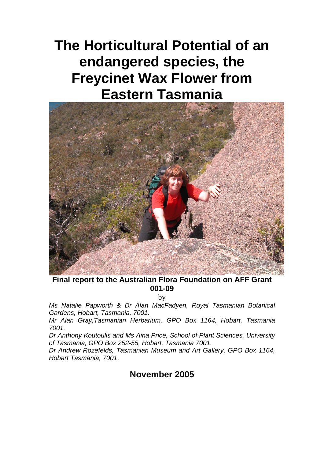# **The Horticultural Potential of an endangered species, the Freycinet Wax Flower from Eastern Tasmania**



**Final report to the Australian Flora Foundation on AFF Grant 001-09** 

by

*Ms Natalie Papworth & Dr Alan MacFadyen, Royal Tasmanian Botanical Gardens, Hobart, Tasmania, 7001.* 

*Mr Alan Gray,Tasmanian Herbarium, GPO Box 1164, Hobart, Tasmania 7001.* 

*Dr Anthony Koutoulis and Ms Aina Price, School of Plant Sciences, University of Tasmania, GPO Box 252-55, Hobart, Tasmania 7001.* 

*Dr Andrew Rozefelds, Tasmanian Museum and Art Gallery, GPO Box 1164, Hobart Tasmania, 7001*.

**November 2005**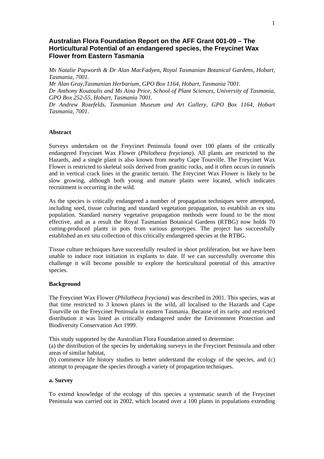# **Australian Flora Foundation Report on the AFF Grant 001-09 – The Horticultural Potential of an endangered species, the Freycinet Wax Flower from Eastern Tasmania**

*Ms Natalie Papworth & Dr Alan MacFadyen, Royal Tasmanian Botanical Gardens, Hobart, Tasmania, 7001.* 

*Mr Alan Gray,Tasmanian Herbarium, GPO Box 1164, Hobart, Tasmania 7001.* 

*Dr Anthony Koutoulis and Ms Aina Price, School of Plant Sciences, University of Tasmania, GPO Box 252-55, Hobart, Tasmania 7001.* 

*Dr Andrew Rozefelds, Tasmanian Museum and Art Gallery, GPO Box 1164, Hobart Tasmania, 7001*.

#### **Abstract**

Surveys undertaken on the Freycinet Peninsula found over 100 plants of the critically endangered Freycinet Wax Flower (*Philotheca freyciana*). All plants are restricted to the Hazards, and a single plant is also known from nearby Cape Tourville. The Freycinet Wax Flower is restricted to skeletal soils derived from granitic rocks, and it often occurs in runnels and in vertical crack lines in the granitic terrain. The Freycinet Wax Flower is likely to be slow growing, although both young and mature plants were located, which indicates recruitment is occurring in the wild.

As the species is critically endangered a number of propagation techniques were attempted, including seed, tissue culturing and standard vegetation propagation, to establish an ex situ population. Standard nursery vegetative propagation methods were found to be the most effective, and as a result the Royal Tasmanian Botanical Gardens (RTBG) now holds 70 cutting-produced plants in pots from various genotypes. The project has successfully established an ex situ collection of this critically endangered species at the RTBG.

Tissue culture techniques have successfully resulted in shoot proliferation, but we have been unable to induce root initiation in explants to date. If we can successfully overcome this challenge it will become possible to explore the horticultural potential of this attractive species.

## **Background**

The Freycinet Wax Flower (*Philotheca freyciana*) was described in 2001. This species, was at that time restricted to 3 known plants in the wild, all localised to the Hazards and Cape Tourville on the Freycinet Peninsula in eastern Tasmania. Because of its rarity and restricted distribution it was listed as critically endangered under the Environment Protection and Biodiversity Conservation Act 1999.

This study supported by the Australian Flora Foundation aimed to determine:

(a) the distribution of the species by undertaking surveys in the Freycinet Peninsula and other areas of similar habitat,

(b) commence life history studies to better understand the ecology of the species, and (c) attempt to propagate the species through a variety of propagation techniques.

#### **a. Survey**

To extend knowledge of the ecology of this species a systematic search of the Freycinet Peninsula was carried out in 2002, which located over a 100 plants in populations extending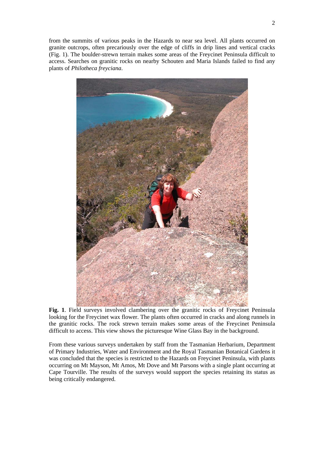from the summits of various peaks in the Hazards to near sea level. All plants occurred on granite outcrops, often precariously over the edge of cliffs in drip lines and vertical cracks (Fig. 1). The boulder-strewn terrain makes some areas of the Freycinet Peninsula difficult to access. Searches on granitic rocks on nearby Schouten and Maria Islands failed to find any plants of *Philotheca freyciana*.



**Fig. 1**. Field surveys involved clambering over the granitic rocks of Freycinet Peninsula looking for the Freycinet wax flower. The plants often occurred in cracks and along runnels in the granitic rocks. The rock strewn terrain makes some areas of the Freycinet Peninsula difficult to access. This view shows the picturesque Wine Glass Bay in the background.

From these various surveys undertaken by staff from the Tasmanian Herbarium, Department of Primary Industries, Water and Environment and the Royal Tasmanian Botanical Gardens it was concluded that the species is restricted to the Hazards on Freycinet Peninsula, with plants occurring on Mt Mayson, Mt Amos, Mt Dove and Mt Parsons with a single plant occurring at Cape Tourville. The results of the surveys would support the species retaining its status as being critically endangered.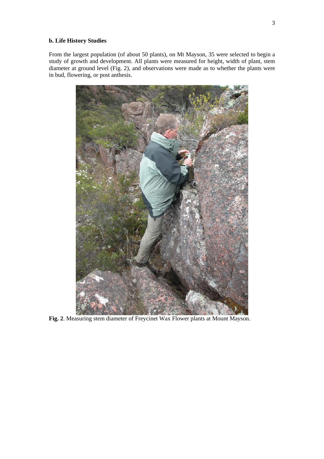# **b. Life History Studies**

From the largest population (of about 50 plants), on Mt Mayson, 35 were selected to begin a study of growth and development. All plants were measured for height, width of plant, stem diameter at ground level (Fig. 2), and observations were made as to whether the plants were in bud, flowering, or post anthesis.



**Fig. 2**. Measuring stem diameter of Freycinet Wax Flower plants at Mount Mayson.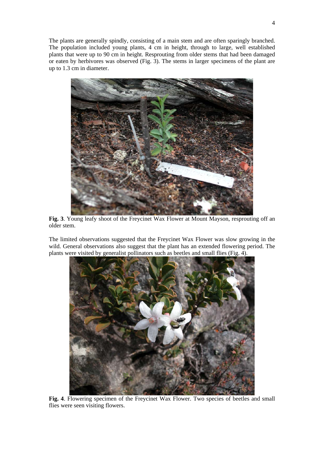The plants are generally spindly, consisting of a main stem and are often sparingly branched. The population included young plants, 4 cm in height, through to large, well established plants that were up to 90 cm in height. Resprouting from older stems that had been damaged or eaten by herbivores was observed (Fig. 3). The stems in larger specimens of the plant are up to 1.3 cm in diameter.



**Fig. 3**. Young leafy shoot of the Freycinet Wax Flower at Mount Mayson, resprouting off an older stem.

The limited observations suggested that the Freycinet Wax Flower was slow growing in the wild. General observations also suggest that the plant has an extended flowering period. The plants were visited by generalist pollinators such as beetles and small flies (Fig. 4).



**Fig. 4**. Flowering specimen of the Freycinet Wax Flower. Two species of beetles and small flies were seen visiting flowers.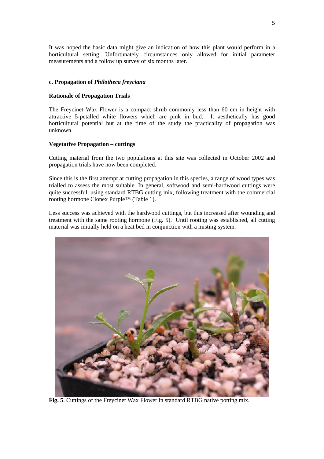It was hoped the basic data might give an indication of how this plant would perform in a horticultural setting. Unfortunately circumstances only allowed for initial parameter measurements and a follow up survey of six months later.

## **c. Propagation of** *Philotheca freyciana*

#### **Rationale of Propagation Trials**

The Freycinet Wax Flower is a compact shrub commonly less than 60 cm in height with attractive 5-petalled white flowers which are pink in bud. It aesthetically has good horticultural potential but at the time of the study the practicality of propagation was unknown.

#### **Vegetative Propagation – cuttings**

Cutting material from the two populations at this site was collected in October 2002 and propagation trials have now been completed.

Since this is the first attempt at cutting propagation in this species, a range of wood types was trialled to assess the most suitable. In general, softwood and semi-hardwood cuttings were quite successful, using standard RTBG cutting mix, following treatment with the commercial rooting hormone Clonex Purple™ (Table 1).

Less success was achieved with the hardwood cuttings, but this increased after wounding and treatment with the same rooting hormone (Fig. 5). Until rooting was established, all cutting material was initially held on a heat bed in conjunction with a misting system.



**Fig. 5**. Cuttings of the Freycinet Wax Flower in standard RTBG native potting mix.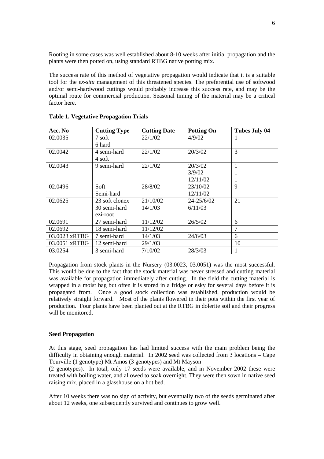Rooting in some cases was well established about 8-10 weeks after initial propagation and the plants were then potted on, using standard RTBG native potting mix.

The success rate of this method of vegetative propagation would indicate that it is a suitable tool for the *ex-situ* management of this threatened species. The preferential use of softwood and/or semi-hardwood cuttings would probably increase this success rate, and may be the optimal route for commercial production. Seasonal timing of the material may be a critical factor here.

| Acc. No       | <b>Cutting Type</b> | <b>Cutting Date</b> | <b>Potting On</b> | <b>Tubes July 04</b> |
|---------------|---------------------|---------------------|-------------------|----------------------|
| 02.0035       | 7 soft              | 22/1/02             | 4/9/02            |                      |
|               | 6 hard              |                     |                   |                      |
| 02.0042       | 4 semi-hard         | 22/1/02             | 20/3/02           | 3                    |
|               | 4 soft              |                     |                   |                      |
| 02.0043       | 9 semi-hard         | 22/1/02             | 20/3/02           |                      |
|               |                     |                     | 3/9/02            |                      |
|               |                     |                     | 12/11/02          |                      |
| 02.0496       | Soft                | 28/8/02             | 23/10/02          | $\mathbf Q$          |
|               | Semi-hard           |                     | 12/11/02          |                      |
| 02.0625       | 23 soft clonex      | 21/10/02            | $24 - 25/6/02$    | 21                   |
|               | 30 semi-hard        | 14/1/03             | 6/11/03           |                      |
|               | ezi-root            |                     |                   |                      |
| 02.0691       | 27 semi-hard        | 11/12/02            | 26/5/02           | 6                    |
| 02.0692       | 18 semi-hard        | 11/12/02            |                   | 7                    |
| 03.0023 xRTBG | 7 semi-hard         | 14/1/03             | 24/6/03           | 6                    |
| 03.0051 xRTBG | 12 semi-hard        | 29/1/03             |                   | 10                   |
| 03.0254       | 3 semi-hard         | 7/10/02             | 28/3/03           |                      |

**Table 1. Vegetative Propagation Trials** 

Propagation from stock plants in the Nursery (03.0023, 03.0051) was the most successful. This would be due to the fact that the stock material was never stressed and cutting material was available for propagation immediately after cutting. In the field the cutting material is wrapped in a moist bag but often it is stored in a fridge or esky for several days before it is propagated from. Once a good stock collection was established, production would be relatively straight forward. Most of the plants flowered in their pots within the first year of production. Four plants have been planted out at the RTBG in dolerite soil and their progress will be monitored

# **Seed Propagation**

At this stage, seed propagation has had limited success with the main problem being the difficulty in obtaining enough material. In 2002 seed was collected from 3 locations – Cape Tourville (1 genotype) Mt Amos (3 genotypes) and Mt Mayson

(2 genotypes). In total, only 17 seeds were available, and in November 2002 these were treated with boiling water, and allowed to soak overnight. They were then sown in native seed raising mix, placed in a glasshouse on a hot bed.

After 10 weeks there was no sign of activity, but eventually two of the seeds germinated after about 12 weeks, one subsequently survived and continues to grow well.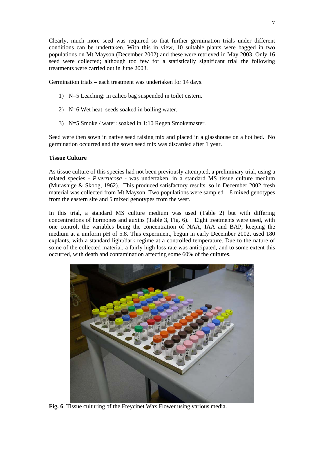Clearly, much more seed was required so that further germination trials under different conditions can be undertaken. With this in view, 10 suitable plants were bagged in two populations on Mt Mayson (December 2002) and these were retrieved in May 2003. Only 16 seed were collected; although too few for a statistically significant trial the following treatments were carried out in June 2003.

Germination trials – each treatment was undertaken for 14 days.

- 1) N=5 Leaching: in calico bag suspended in toilet cistern.
- 2) N=6 Wet heat: seeds soaked in boiling water.
- 3) N=5 Smoke / water: soaked in 1:10 Regen Smokemaster.

Seed were then sown in native seed raising mix and placed in a glasshouse on a hot bed. No germination occurred and the sown seed mix was discarded after 1 year.

## **Tissue Culture**

As tissue culture of this species had not been previously attempted, a preliminary trial, using a related species - *P.verrucosa* - was undertaken, in a standard MS tissue culture medium (Murashige & Skoog, 1962). This produced satisfactory results, so in December 2002 fresh material was collected from Mt Mayson. Two populations were sampled – 8 mixed genotypes from the eastern site and 5 mixed genotypes from the west.

In this trial, a standard MS culture medium was used (Table 2) but with differing concentrations of hormones and auxins (Table 3, Fig. 6). Eight treatments were used, with one control, the variables being the concentration of NAA, IAA and BAP, keeping the medium at a uniform pH of 5.8. This experiment, begun in early December 2002, used 180 explants, with a standard light/dark regime at a controlled temperature. Due to the nature of some of the collected material, a fairly high loss rate was anticipated, and to some extent this occurred, with death and contamination affecting some 60% of the cultures.



**Fig. 6**. Tissue culturing of the Freycinet Wax Flower using various media.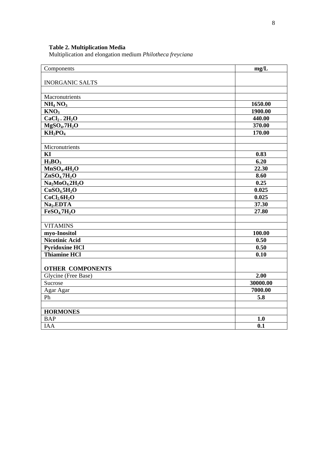#### **Table 2. Multiplication Media**

Multiplication and elongation medium *Philotheca freyciana*

| Components                                         | mg/L     |
|----------------------------------------------------|----------|
|                                                    |          |
| <b>INORGANIC SALTS</b>                             |          |
|                                                    |          |
| Macronutrients                                     |          |
| NH <sub>4</sub> NO <sub>3</sub>                    | 1650.00  |
| KNO <sub>3</sub>                                   | 1900.00  |
| $CaCl2$ . $2H2O$                                   | 440.00   |
| MgSO <sub>4</sub> .7H <sub>2</sub> O               | 370.00   |
| $KH_2PO_4$                                         | 170.00   |
|                                                    |          |
| Micronutrients                                     |          |
| KI                                                 | 0.83     |
| $H_3BO_3$                                          | 6.20     |
| MnSO <sub>4</sub> .4H <sub>2</sub> O               | 22.30    |
| ZnSO <sub>4</sub> .7H <sub>2</sub> O               | 8.60     |
| $Na2MoO4.2H2O$                                     | 0.25     |
| CuSO <sub>4</sub> 5H <sub>2</sub> O                | 0.025    |
| $\overline{\text{CoCl}_{2.6}\text{H}_{2}\text{O}}$ | 0.025    |
| Na <sub>2</sub> .EDTA                              | 37.30    |
| FeSO <sub>4</sub> 7H <sub>2</sub> O                | 27.80    |
|                                                    |          |
| <b>VITAMINS</b>                                    |          |
| myo-Inositol                                       | 100.00   |
| <b>Nicotinic Acid</b>                              | 0.50     |
| <b>Pyridoxine HCl</b>                              | 0.50     |
| <b>Thiamine HCl</b>                                | 0.10     |
|                                                    |          |
| <b>OTHER COMPONENTS</b>                            |          |
| Glycine (Free Base)                                | 2.00     |
| Sucrose                                            | 30000.00 |
| Agar Agar                                          | 7000.00  |
| Ph                                                 | 5.8      |
|                                                    |          |
| <b>HORMONES</b>                                    |          |
| <b>BAP</b>                                         | 1.0      |
| <b>IAA</b>                                         | 0.1      |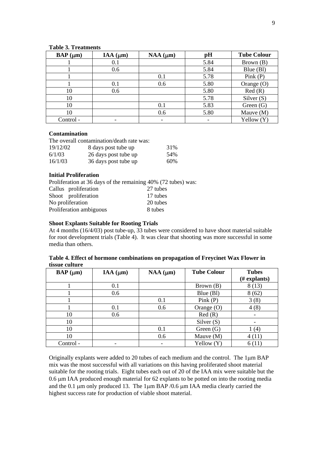## **Table 3. Treatments**

| $BAP(\mu m)$ | IAA $(\mu m)$ | $NAA$ ( $\mu$ m) | pH   | <b>Tube Colour</b> |
|--------------|---------------|------------------|------|--------------------|
|              | $0.1\,$       |                  | 5.84 | Brown (B)          |
|              | 0.6           |                  | 5.84 | Blue (Bl)          |
|              |               | 0.1              | 5.78 | Pink $(P)$         |
|              | $0.1\,$       | 0.6              | 5.80 | Orange $(O)$       |
| 10           | 0.6           |                  | 5.80 | Red(R)             |
| 10           |               |                  | 5.78 | Silver $(S)$       |
| 10           |               | 0.1              | 5.83 | Green(G)           |
| 10           |               | 0.6              | 5.80 | Mauve $(M)$        |
| Control -    |               |                  |      | Yellow (Y)         |

## **Contamination**

|          | The overall contamination/death rate was: |     |
|----------|-------------------------------------------|-----|
| 19/12/02 | 8 days post tube up                       | 31% |
| 6/1/03   | 26 days post tube up                      | 54% |
| 16/1/03  | 36 days post tube up                      | 60% |

## **Initial Proliferation**

Proliferation at 36 days of the remaining 40% (72 tubes) was:

| Callus proliferation    | 27 tubes |
|-------------------------|----------|
| Shoot proliferation     | 17 tubes |
| No proliferation        | 20 tubes |
| Proliferation ambiguous | 8 tubes  |

# **Shoot Explants Suitable for Rooting Trials**

At 4 months (16/4/03) post tube-up, 33 tubes were considered to have shoot material suitable for root development trials (Table 4). It was clear that shooting was more successful in some media than others.

|                | Table 4. Effect of hormone combinations on propagation of Freycinet Wax Flower in |  |  |
|----------------|-----------------------------------------------------------------------------------|--|--|
| tissue culture |                                                                                   |  |  |

| $BAP(\mu m)$ | IAA $(\mu m)$ | $NAA$ ( $\mu$ m) | <b>Tube Colour</b> | <b>Tubes</b> |
|--------------|---------------|------------------|--------------------|--------------|
|              |               |                  |                    | (# explants) |
|              | 0.1           |                  | Brown (B)          | 8(13)        |
|              | 0.6           |                  | Blue (Bl)          | 8(62)        |
|              |               | 0.1              | Pink(P)            | 3(8)         |
|              | 0.1           | 0.6              | Orange $(O)$       | 4(8)         |
| 10           | 0.6           |                  | Red(R)             |              |
| 10           |               |                  | Silver $(S)$       |              |
| 10           |               | 0.1              | Green $(G)$        | 1 (4)        |
| 10           |               | 0.6              | Mauve $(M)$        | 4(11)        |
| Control -    | -             |                  | Yellow (Y)         | 6(11)        |

Originally explants were added to 20 tubes of each medium and the control. The 1µm BAP mix was the most successful with all variations on this having proliferated shoot material suitable for the rooting trials. Eight tubes each out of 20 of the IAA mix were suitable but the 0.6 µm IAA produced enough material for 62 explants to be potted on into the rooting media and the 0.1  $\mu$ m only produced 13. The 1 $\mu$ m BAP /0.6  $\mu$ m IAA media clearly carried the highest success rate for production of viable shoot material.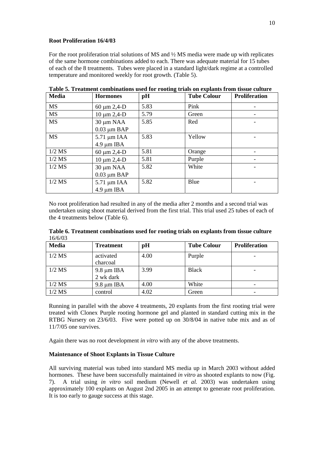## **Root Proliferation 16/4/03**

For the root proliferation trial solutions of MS and ½ MS media were made up with replicates of the same hormone combinations added to each. There was adequate material for 15 tubes of each of the 8 treatments. Tubes were placed in a standard light/dark regime at a controlled temperature and monitored weekly for root growth. (Table 5).

| <b>Media</b> | <b>Hormones</b>  | pH   | <b>Tube Colour</b> | <b>Proliferation</b> |
|--------------|------------------|------|--------------------|----------------------|
| <b>MS</b>    | $60 \mu m$ 2,4-D | 5.83 | Pink               |                      |
| <b>MS</b>    | $10 \mu m 2,4-D$ | 5.79 | Green              |                      |
| <b>MS</b>    | $30 \mu m NAA$   | 5.85 | Red                |                      |
|              | $0.03 \mu m$ BAP |      |                    |                      |
| <b>MS</b>    | $5.71 \mu m$ IAA | 5.83 | Yellow             |                      |
|              | $4.9 \mu m$ IBA  |      |                    |                      |
| $1/2$ MS     | $60 \mu m$ 2,4-D | 5.81 | Orange             |                      |
| $1/2$ MS     | $10 \mu m 2,4-D$ | 5.81 | Purple             |                      |
| $1/2$ MS     | 30 µm NAA        | 5.82 | White              |                      |
|              | $0.03 \mu m$ BAP |      |                    |                      |
| $1/2$ MS     | $5.71 \mu m$ IAA | 5.82 | Blue               |                      |
|              | $4.9 \mu m$ IBA  |      |                    |                      |

**Table 5. Treatment combinations used for rooting trials on explants from tissue culture**

No root proliferation had resulted in any of the media after 2 months and a second trial was undertaken using shoot material derived from the first trial. This trial used 25 tubes of each of the 4 treatments below (Table 6).

| Table 6. Treatment combinations used for rooting trials on explants from tissue culture |  |
|-----------------------------------------------------------------------------------------|--|
| 16/6/03                                                                                 |  |

| <b>Media</b> | <b>Treatment</b>             | pH   | <b>Tube Colour</b> | <b>Proliferation</b> |
|--------------|------------------------------|------|--------------------|----------------------|
| $1/2$ MS     | activated<br>charcoal        | 4.00 | Purple             |                      |
| $1/2$ MS     | $9.8 \mu m$ IBA<br>2 wk dark | 3.99 | <b>Black</b>       |                      |
| $1/2$ MS     | $9.8 \mu m$ IBA              | 4.00 | White              |                      |
| $1/2$ MS     | control                      | 4.02 | Green              |                      |

Running in parallel with the above 4 treatments, 20 explants from the first rooting trial were treated with Clonex Purple rooting hormone gel and planted in standard cutting mix in the RTBG Nursery on 23/6/03. Five were potted up on 30/8/04 in native tube mix and as of 11/7/05 one survives.

Again there was no root development *in vitro* with any of the above treatments.

## **Maintenance of Shoot Explants in Tissue Culture**

All surviving material was tubed into standard MS media up in March 2003 without added hormones. These have been successfully maintained *in vitro* as shooted explants to now (Fig. 7). A trial using *in vitro* soil medium (Newell *et al.* 2003) was undertaken using approximately 100 explants on August 2nd 2005 in an attempt to generate root proliferation. It is too early to gauge success at this stage.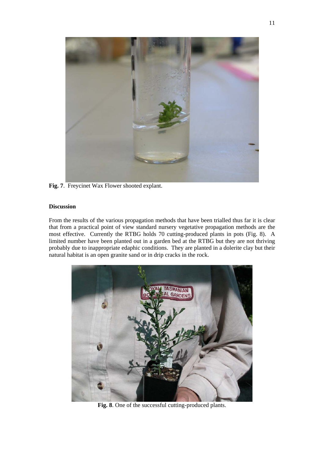

**Fig. 7**. Freycinet Wax Flower shooted explant.

# **Discussion**

From the results of the various propagation methods that have been trialled thus far it is clear that from a practical point of view standard nursery vegetative propagation methods are the most effective. Currently the RTBG holds 70 cutting-produced plants in pots (Fig. 8). A limited number have been planted out in a garden bed at the RTBG but they are not thriving probably due to inappropriate edaphic conditions. They are planted in a dolerite clay but their natural habitat is an open granite sand or in drip cracks in the rock.



**Fig. 8**. One of the successful cutting-produced plants.